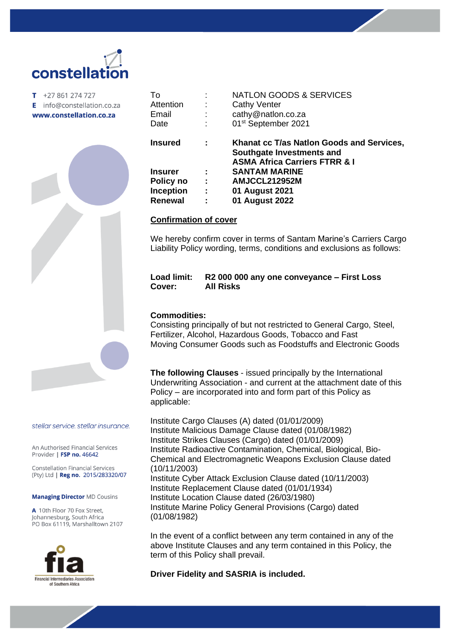# constellati

 $T + 27861274727$ E info@constellation.co.za www.constellation.co.za



| To               |   | <b>NATLON GOODS &amp; SERVICES</b>                                                                                 |
|------------------|---|--------------------------------------------------------------------------------------------------------------------|
| Attention        |   | <b>Cathy Venter</b>                                                                                                |
| Email            |   | cathy@natlon.co.za                                                                                                 |
| Date             |   | 01 <sup>st</sup> September 2021                                                                                    |
| <b>Insured</b>   | ÷ | Khanat cc T/as Nation Goods and Services,<br>Southgate Investments and<br><b>ASMA Africa Carriers FTRR &amp; I</b> |
| <b>Insurer</b>   |   | <b>SANTAM MARINE</b>                                                                                               |
| Policy no        | ÷ | AMJCCL212952M                                                                                                      |
| <b>Inception</b> | ÷ | 01 August 2021                                                                                                     |
| <b>Renewal</b>   | ÷ | 01 August 2022                                                                                                     |
|                  |   |                                                                                                                    |

### **Confirmation of cover**

We hereby confirm cover in terms of Santam Marine's Carriers Cargo Liability Policy wording, terms, conditions and exclusions as follows:

### **Load limit: R2 000 000 any one conveyance – First Loss Cover: All Risks**

### **Commodities:**

Consisting principally of but not restricted to General Cargo, Steel, Fertilizer, Alcohol, Hazardous Goods, Tobacco and Fast Moving Consumer Goods such as Foodstuffs and Electronic Goods

**The following Clauses** - issued principally by the International Underwriting Association - and current at the attachment date of this Policy – are incorporated into and form part of this Policy as applicable:

Institute Cargo Clauses (A) dated (01/01/2009) Institute Malicious Damage Clause dated (01/08/1982) Institute Strikes Clauses (Cargo) dated (01/01/2009) Institute Radioactive Contamination, Chemical, Biological, Bio-Chemical and Electromagnetic Weapons Exclusion Clause dated (10/11/2003) Institute Cyber Attack Exclusion Clause dated (10/11/2003) Institute Replacement Clause dated (01/01/1934) Institute Location Clause dated (26/03/1980) Institute Marine Policy General Provisions (Cargo) dated (01/08/1982)

In the event of a conflict between any term contained in any of the above Institute Clauses and any term contained in this Policy, the term of this Policy shall prevail.

#### **Driver Fidelity and SASRIA is included.**

stellar service. stellar insurance.

An Authorised Financial Services Provider | FSP no. 46642

**Constellation Financial Services** (Pty) Ltd | Reg no. 2015/283320/07

#### **Managing Director MD Cousins**

A 10th Floor 70 Fox Street, Johannesburg, South Africa PO Box 61119, Marshalltown 2107